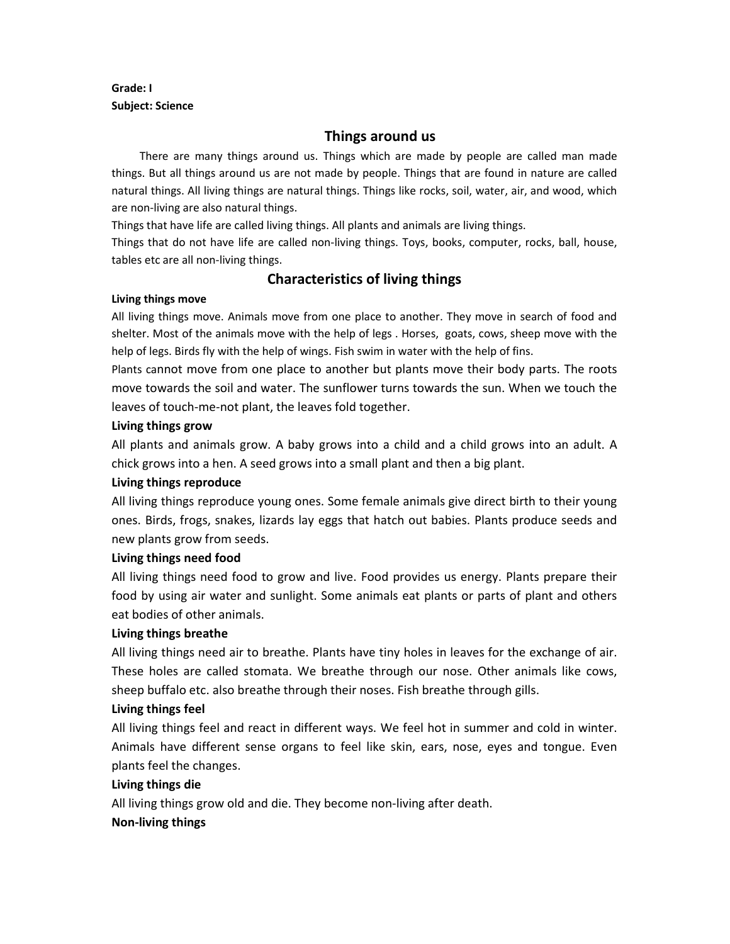## **Grade: I Subject: Science**

# **Things around us**

 There are many things around us. Things which are made by people are called man made things. But all things around us are not made by people. Things that are found in nature are called natural things. All living things are natural things. Things like rocks, soil, water, air, and wood, which are non-living are also natural things.

Things that have life are called living things. All plants and animals are living things.

Things that do not have life are called non-living things. Toys, books, computer, rocks, ball, house, tables etc are all non-living things.

## **Characteristics of living things**

#### **Living things move**

All living things move. Animals move from one place to another. They move in search of food and shelter. Most of the animals move with the help of legs . Horses, goats, cows, sheep move with the help of legs. Birds fly with the help of wings. Fish swim in water with the help of fins.

Plants cannot move from one place to another but plants move their body parts. The roots move towards the soil and water. The sunflower turns towards the sun. When we touch the leaves of touch-me-not plant, the leaves fold together.

### **Living things grow**

All plants and animals grow. A baby grows into a child and a child grows into an adult. A chick grows into a hen. A seed grows into a small plant and then a big plant.

### **Living things reproduce**

All living things reproduce young ones. Some female animals give direct birth to their young ones. Birds, frogs, snakes, lizards lay eggs that hatch out babies. Plants produce seeds and new plants grow from seeds.

### **Living things need food**

All living things need food to grow and live. Food provides us energy. Plants prepare their food by using air water and sunlight. Some animals eat plants or parts of plant and others eat bodies of other animals.

### **Living things breathe**

All living things need air to breathe. Plants have tiny holes in leaves for the exchange of air. These holes are called stomata. We breathe through our nose. Other animals like cows, sheep buffalo etc. also breathe through their noses. Fish breathe through gills.

### **Living things feel**

All living things feel and react in different ways. We feel hot in summer and cold in winter. Animals have different sense organs to feel like skin, ears, nose, eyes and tongue. Even plants feel the changes.

### **Living things die**

All living things grow old and die. They become non-living after death.

### **Non-living things**